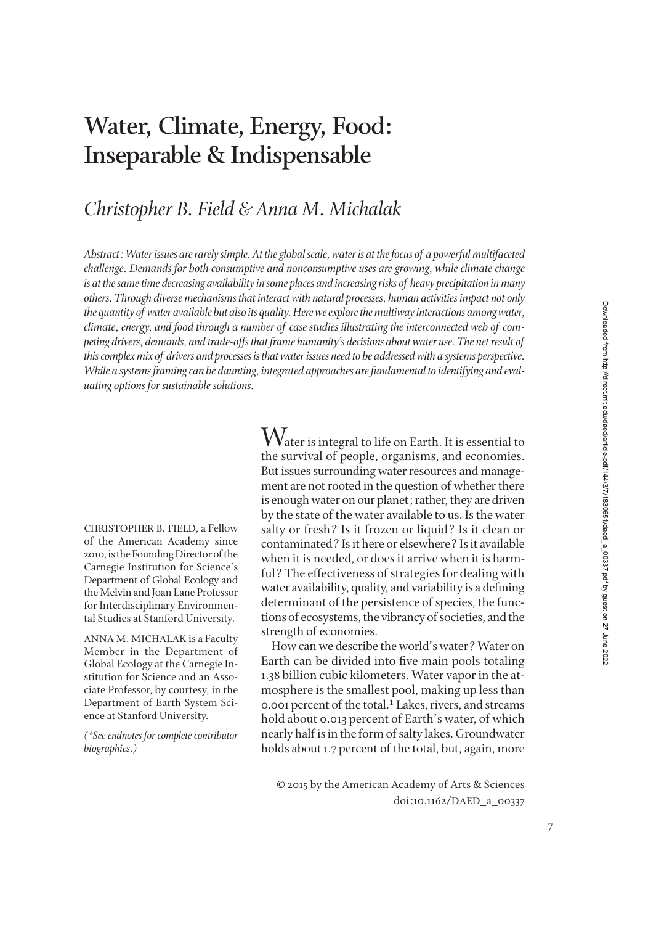## **Water, Climate, Energy, Food: Inseparable & Indispensable**

## *Christopher B. Field & Anna M. Michalak*

*Abstract: Water issues are rarely simple. At the global scale, water is at the focus of a powerful multifaceted challenge. Demands for both consumptive and nonconsumptive uses are growing, while climate change is at the same time decreasing availability in some places and increasing risks of heavy precipitation in many others. Through diverse mechanisms that interact with natural processes, human activities impact not only the quantity of water available but also its quality. Here we explore the multiway interactions among water, climate, energy, and food through a number of case studies illustrating the interconnected web of competing drivers, demands, and trade-offs that frame humanity's decisions about water use. The net result of this complex mix of drivers and processes is that water issues need to be addressed with a systems perspective. While a systems framing can be daunting, integrated approaches are fundamental to identifying and eval uating options for sustainable solutions.*

CHRISTOPHER B. FIELD, a Fellow of the American Academy since 2010, is the Founding Director of the Carnegie Institution for Science's Department of Global Ecology and the Melvin and Joan Lane Professor for Interdisciplinary Environmental Studies at Stanford University.

ANNA M. MICHALAK is a Faculty Member in the Department of Global Ecology at the Carnegie Institution for Science and an Associate Professor, by courtesy, in the Department of Earth System Science at Stanford University.

*(\*See endnotes for complete contributor biographies.)*

 $\operatorname{W}_{\!\!4}$ ater is integral to life on Earth. It is essential to the survival of people, organisms, and economies. But issues surrounding water resources and management are not rooted in the question of whether there is enough water on our planet; rather, they are driven by the state of the water available to us. Is the water salty or fresh? Is it frozen or liquid? Is it clean or contaminated? Is it here or elsewhere? Is it available when it is needed, or does it arrive when it is harmful? The effectiveness of strategies for dealing with water availability, quality, and variability is a defining determinant of the persistence of species, the functions of ecosystems, the vibrancy of societies, and the strength of economies.

How can we describe the world's water? Water on Earth can be divided into five main pools totaling 1.38 billion cubic kilometers. Water vapor in the at mosphere is the smallest pool, making up less than 0.001 percent of the total.1 Lakes, rivers, and streams hold about 0.013 percent of Earth's water, of which nearly half is in the form of salty lakes. Groundwater holds about 1.7 percent of the total, but, again, more

<sup>© 2015</sup> by the American Academy of Arts & Sciences doi:10.1162/DAED\_a\_00337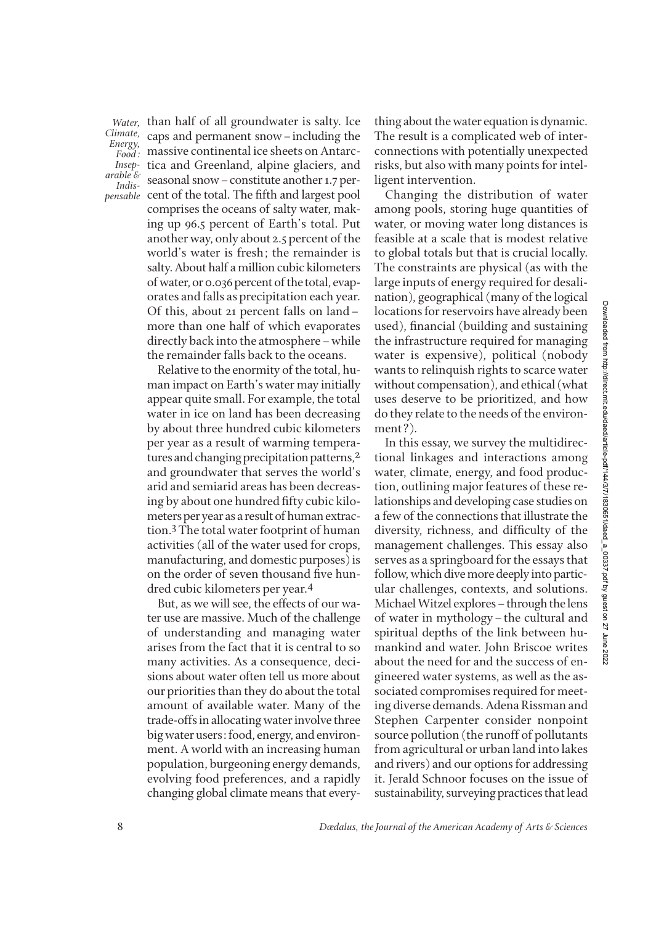*Climate, Energy, Food: Inseparable & Indis -*

Water, than half of all groundwater is salty. Ice caps and permanent snow–including the massive continental ice sheets on Antarctica and Greenland, alpine glaciers, and seasonal snow – constitute another 1.7 percent of the total. The ½fth and largest pool *pensable* comprises the oceans of salty water, making up 96.5 percent of Earth's total. Put another way, only about 2.5 percent of the world's water is fresh; the remainder is salty. About half a million cubic kilometers of water, or 0.036 percent of the total, evap orates and falls as precipitation each year. Of this, about 21 percent falls on land– more than one half of which evaporates directly back into the atmosphere–while the remainder falls back to the oceans.

Relative to the enormity of the total, human impact on Earth's water may initially appear quite small. For example, the total water in ice on land has been decreasing by about three hundred cubic kilometers per year as a result of warming temperatures and changing precipitation patterns, $<sup>2</sup>$ </sup> and groundwater that serves the world's arid and semiarid areas has been decreasing by about one hundred fifty cubic kilometers per year as a result of human extrac tion.3 The total water footprint of human activities (all of the water used for crops, manufacturing, and domestic purposes) is on the order of seven thousand five hundred cubic kilometers per year.4

But, as we will see, the effects of our water use are massive. Much of the challenge of understanding and managing water arises from the fact that it is central to so many activities. As a consequence, decisions about water often tell us more about our priorities than they do about the total amount of available water. Many of the trade-offs in allocating water involve three big water users: food, energy, and environment. A world with an increasing human population, burgeoning energy demands, evolving food preferences, and a rapidly changing global climate means that every -

thing about the water equation is dynamic. The result is a complicated web of interconnections with potentially unexpected risks, but also with many points for intelligent intervention.

Changing the distribution of water among pools, storing huge quantities of water, or moving water long distances is feasible at a scale that is modest relative to global totals but that is crucial locally. The constraints are physical (as with the large inputs of energy required for desalination), geographical (many of the logical locations for reservoirs have already been used), financial (building and sustaining the infrastructure required for managing water is expensive), political (nobody wants to relinquish rights to scarce water without compensation), and ethical (what uses deserve to be prioritized, and how do they relate to the needs of the environment?).

In this essay, we survey the multidirectional linkages and interactions among water, climate, energy, and food production, outlining major features of these re lationships and developing case studies on a few of the connections that illustrate the diversity, richness, and difficulty of the man agement challenges. This essay also serves as a springboard for the essays that follow, which dive more deeply into particular challenges, contexts, and solutions. Michael Witzel explores–through the lens of water in mythology–the cultural and spiritual depths of the link between humankind and water. John Briscoe writes about the need for and the success of engineered water systems, as well as the as sociated compromises required for meeting diverse demands. Adena Rissman and Stephen Carpenter consider nonpoint source pollution (the runoff of pollutants from agricultural or urban land into lakes and rivers) and our options for addressing it. Jerald Schnoor focuses on the issue of sus tainability, surveying practices that lead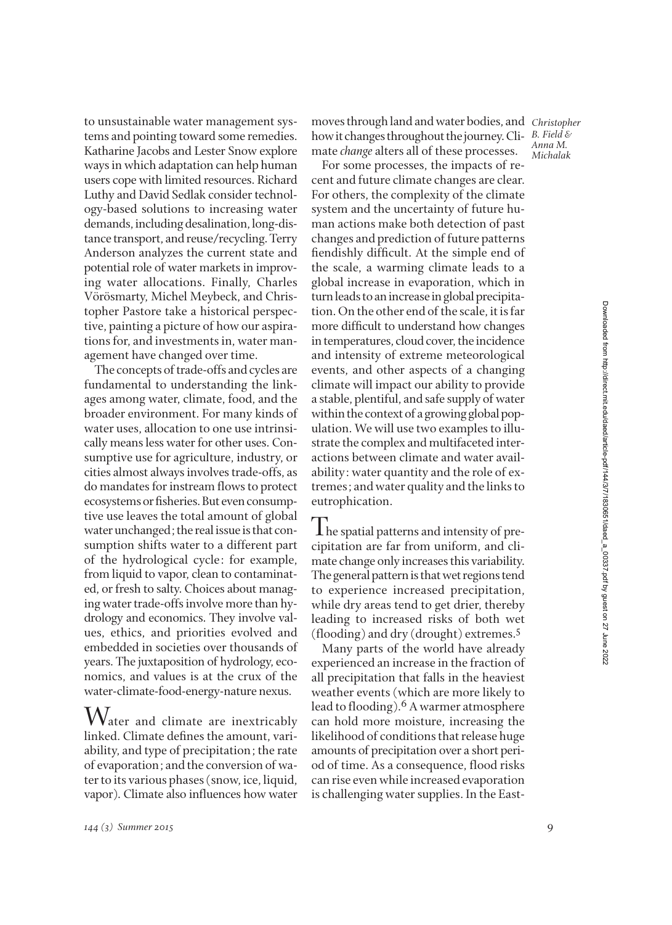to unsustainable water management systems and pointing toward some remedies. Katharine Jacobs and Lester Snow explore ways in which adaptation can help human users cope with limited resources. Richard Luthy and David Sedlak consider technology-based solutions to increasing water de mands, including desalination, long-distance transport, and reuse/recycling. Terry Anderson analyzes the current state and potential role of water markets in improving water allocations. Finally, Charles Vörösmarty, Michel Meybeck, and Chris topher Pastore take a historical perspective, painting a picture of how our aspirations for, and investments in, water management have changed over time.

The concepts of trade-offs and cycles are fundamental to understanding the linkages among water, climate, food, and the broader environment. For many kinds of water uses, allocation to one use intrinsically means less water for other uses. Consumptive use for agriculture, industry, or cities almost always involves trade-offs, as do mandates for instream flows to protect ecosystems or fisheries. But even consumptive use leaves the total amount of global water unchanged; the real issue is that con sumption shifts water to a different part of the hydrological cycle: for example, from liquid to vapor, clean to contaminated, or fresh to salty. Choices about managing water trade-offs involve more than hydrology and economics. They involve values, ethics, and priorities evolved and em bedded in societies over thousands of years. The juxtaposition of hydrology, eco nomics, and values is at the crux of the water-climate-food-energy-nature nexus.

 $\rm{W}$ ater and climate are inextricably linked. Climate defines the amount, variability, and type of precipitation; the rate of evaporation; and the conversion of wa ter to its various phases (snow, ice, liquid, vapor). Climate also influences how water

For some processes, the impacts of recent and future climate changes are clear. For others, the complexity of the climate system and the uncertainty of future human actions make both detection of past changes and prediction of future patterns fiendishly difficult. At the simple end of the scale, a warming climate leads to a global increase in evaporation, which in turn leads to an increase in global precipita tion. On the other end of the scale, it is far more difficult to understand how changes in temperatures, cloud cover, the incidence and intensity of extreme meteorological events, and other aspects of a changing climate will impact our ability to provide a stable, plentiful, and safe supply of water within the context of a growing global population. We will use two examples to illu strate the complex and multifaceted inter actions between climate and water availability: water quantity and the role of ex tremes; and water quality and the links to eutrophication.

**The spatial patterns and intensity of pre**cipitation are far from uniform, and climate change only increases this variability. The general pattern is that wet regions tend to experience increased precipitation, while dry areas tend to get drier, thereby leading to increased risks of both wet (flooding) and dry (drought) extremes.5

Many parts of the world have already experienced an increase in the fraction of all precipitation that falls in the heaviest weather events (which are more likely to lead to flooding).<sup>6</sup> A warmer atmosphere can hold more moisture, increasing the likelihood of conditions that release huge amounts of precipitation over a short period of time. As a consequence, flood risks can rise even while increased evaporation is challenging water supplies. In the East-

*Anna M. Michalak*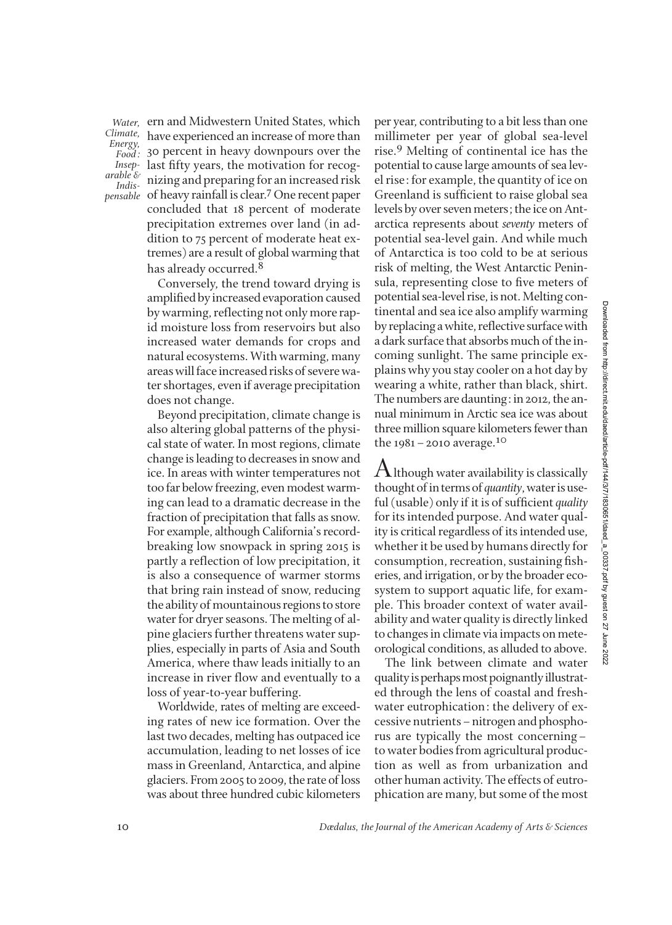*Climate, Energy, Food: Inseparable & Indis -*

Water, ern and Midwestern United States, which have experienced an increase of more than 30 percent in heavy downpours over the last fifty years, the motivation for recognizing and preparing for an increased risk of heavy rainfall is clear.7 One recent paper *pensable* concluded that 18 percent of moderate precipitation extremes over land (in addition to 75 percent of moderate heat extremes) are a result of global warming that has already occurred.<sup>8</sup>

> Conversely, the trend toward drying is amplified by increased evaporation caused by warming, reflecting not only more rap id moisture loss from reservoirs but also increased water demands for crops and natural ecosystems. With warming, many areas will face increased risks of severe wa ter shortages, even if average precipitation does not change.

> Beyond precipitation, climate change is also altering global patterns of the physical state of water. In most regions, climate change is leading to decreases in snow and ice. In areas with winter temperatures not too far below freezing, even modest warm ing can lead to a dramatic decrease in the fraction of precipitation that falls as snow. For example, although California's recordbreaking low snowpack in spring 2015 is partly a reflection of low precipitation, it is also a consequence of warmer storms that bring rain instead of snow, reducing the ability of mountainous regions to store water for dryer seasons. The melting of alpine glaciers further threatens water supplies, especially in parts of Asia and South America, where thaw leads initially to an increase in river flow and eventually to a loss of year-to-year buffering.

> Worldwide, rates of melting are exceeding rates of new ice formation. Over the last two decades, melting has outpaced ice accumulation, leading to net losses of ice mass in Greenland, Antarctica, and alpine glaciers. From 2005 to 2009, the rate of loss was about three hundred cubic kilometers

per year, contributing to a bit less than one millimeter per year of global sea-level rise.9 Melting of continental ice has the potential to cause large amounts of sea level rise: for example, the quantity of ice on Greenland is sufficient to raise global sea levels by over seven meters; the ice on Ant arctica represents about *seventy* meters of potential sea-level gain. And while much of Antarctica is too cold to be at serious risk of melting, the West Antarctic Peninsula, representing close to five meters of potential sea-level rise, is not. Melting continental and sea ice also amplify warming by replacing a white, reflective surface with a dark surface that absorbs much of the in coming sunlight. The same principle explains why you stay cooler on a hot day by wearing a white, rather than black, shirt. The numbers are daunting: in 2012, the an nual minimum in Arctic sea ice was about three million square kilometers fewer than the 1981–2010 average.10

 $A$ lthough water availability is classically thought of in terms of *quantity*, water is use ful (usable) only if it is of sufficient *quality* for its intended purpose. And water quality is critical regardless of its intended use, whether it be used by humans directly for consumption, recreation, sustaining fisheries, and irrigation, or by the broader eco system to support aquatic life, for example. This broader context of water availability and water quality is directly linked to changes in climate via impacts on meteorological conditions, as alluded to above.

The link between climate and water quality is perhaps most poignantly illustrated through the lens of coastal and freshwater eutrophication: the delivery of excessive nutrients–nitrogen and phosphorus are typically the most concerning– to water bodies from agricultural production as well as from urbanization and other human activity. The effects of eutro phication are many, but some of the most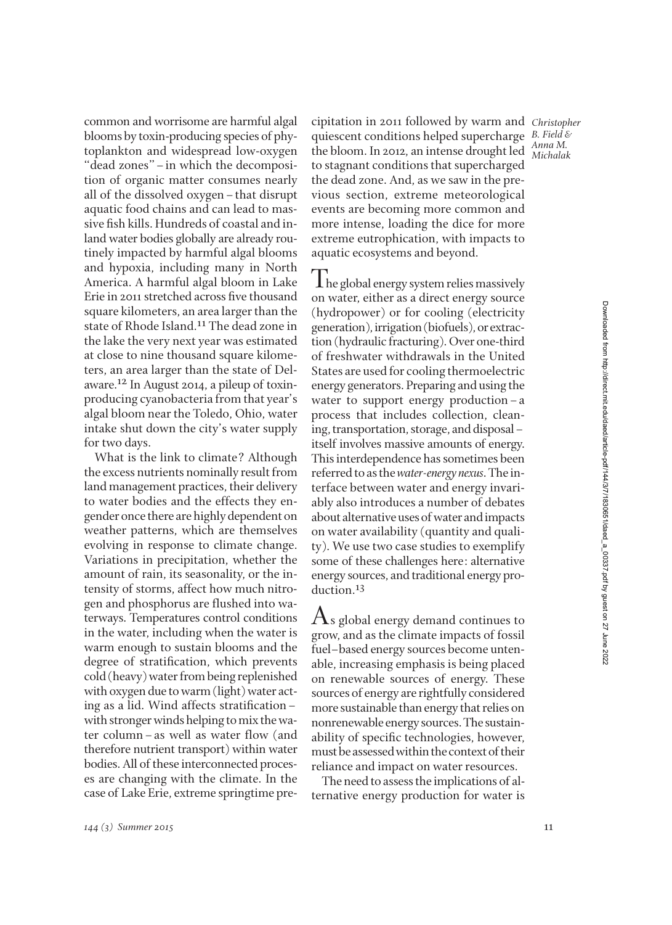common and worrisome are harmful algal blooms by toxin-producing species of phy toplankton and widespread low-oxygen "dead zones"–in which the decomposition of organic matter consumes nearly all of the dissolved oxygen–that disrupt aquatic food chains and can lead to massive fish kills. Hundreds of coastal and inland water bodies globally are already routinely impacted by harmful algal blooms and hypoxia, including many in North America. A harmful algal bloom in Lake Erie in 2011 stretched across five thousand square kilometers, an area larger than the state of Rhode Island.11 The dead zone in the lake the very next year was estimated at close to nine thousand square kilometers, an area larger than the state of Delaware.12 In August 2014, a pileup of toxinproducing cyanobacteria from that year's algal bloom near the Toledo, Ohio, water intake shut down the city's water supply for two days.

What is the link to climate? Although the excess nutrients nominally result from land management practices, their delivery to water bodies and the effects they engender once there are highly dependent on weather patterns, which are themselves evolving in response to climate change. Variations in precipitation, whether the amount of rain, its seasonality, or the in tensity of storms, affect how much nitrogen and phosphorus are flushed into wa ter ways. Temperatures control conditions in the water, including when the water is warm enough to sustain blooms and the degree of stratification, which prevents cold (heavy) water from being replenished with oxygen due to warm (light) water acting as a lid. Wind affects stratification $$ with stronger winds helping to mix the water column–as well as water flow (and therefore nutrient transport) within water bodies. All of these interconnected proces es are changing with the climate. In the case of Lake Erie, extreme springtime pre - cipitation in 2011 followed by warm and *Christopher*  quiescent conditions helped supercharge *B. Field &*  the bloom. In 2012, an intense drought led *Anna M.* to stagnant conditions that supercharged the dead zone. And, as we saw in the previous section, extreme meteorological events are becoming more common and more intense, loading the dice for more extreme eutrophication, with impacts to aquatic ecosystems and beyond.

 $\mathbf 1$  he global energy system relies massively on water, either as a direct energy source (hydropower) or for cooling (electricity generation), irrigation (biofuels), or extraction (hydraulic fracturing). Over one-third of freshwater withdrawals in the United States are used for cooling thermoelectric energy generators. Preparing and using the water to support energy production–a process that includes collection, cleaning, transportation, storage, and disposal– it self involves massive amounts of energy. This interdependence has sometimes been referred to as the *water-energy nexus*. The in terface between water and energy invariably also introduces a number of debates about alternative uses of water and impacts on water availability (quantity and quality). We use two case studies to exemplify some of these challenges here: alternative energy sources, and traditional energy production.13

 $\Lambda$ s global energy demand continues to grow, and as the climate impacts of fossil fuel–based energy sources become unten able, increasing emphasis is being placed on renewable sources of energy. These sources of energy are rightfully considered more sustainable than energy that relies on nonrenewable energy sources. The sustain ability of specific technologies, however, must be assessed within the context of their reliance and impact on water resources.

The need to assess the implications of alternative energy production for water is *Michalak*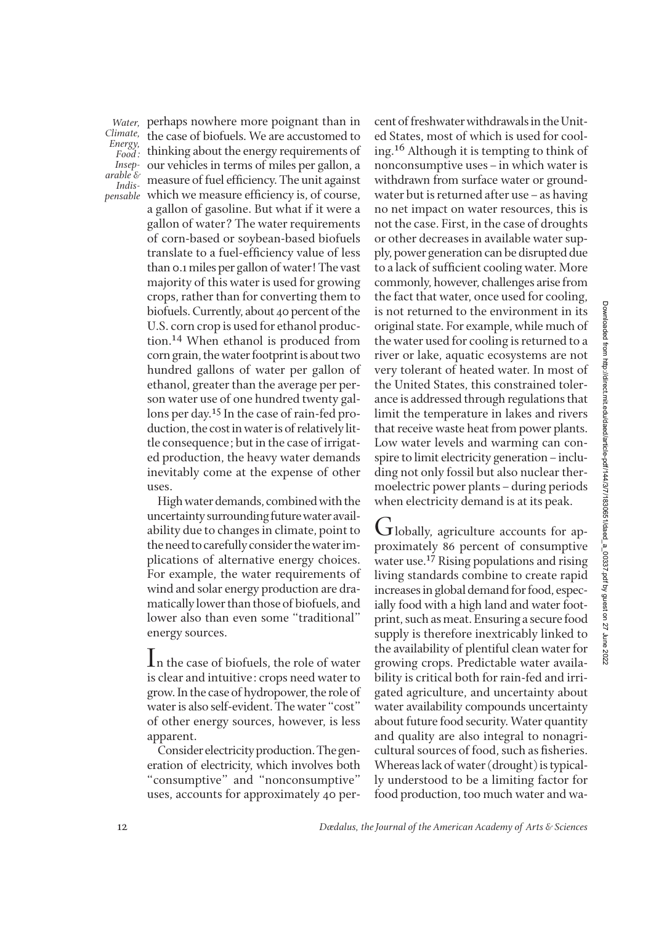*Climate, Energy, Food: Inseparable & Indis -*

Water, perhaps nowhere more poignant than in the case of biofuels. We are accustomed to thinking about the energy requirements of our vehicles in terms of miles per gallon, a measure of fuel efficiency. The unit against pensable which we measure efficiency is, of course, a gallon of gasoline. But what if it were a gallon of water? The water requirements of corn-based or soybean-based biofuels translate to a fuel-efficiency value of less than 0.1 miles per gallon of water! The vast majority of this water is used for growing crops, rather than for converting them to biofuels. Currently, about 40 percent of the U.S. corn crop is used for ethanol production.14 When ethanol is produced from corn grain, the water footprint is about two hundred gallons of water per gallon of ethanol, greater than the average per person water use of one hundred twenty gallons per day.<sup>15</sup> In the case of rain-fed production, the cost in water is of relatively little consequence; but in the case of irrigat ed production, the heavy water demands inevitably come at the expense of other uses.

High water demands, combined with the uncertainty surrounding future water avail ability due to changes in climate, point to the need to carefully consider the water im plications of alternative energy choices. For example, the water requirements of wind and solar energy production are dramatically lower than those of biofuels, and lower also than even some "traditional" energy sources.

In the case of biofuels, the role of water is clear and intuitive: crops need water to grow. In the case of hydropower, the role of water is also self-evident. The water "cost" of other energy sources, however, is less apparent.

Consider electricity production. The gen eration of electricity, which involves both "consumptive" and "nonconsumptive" uses, accounts for approximately 40 percent of freshwater withdrawals in the United States, most of which is used for cooling.16 Although it is tempting to think of nonconsumptive uses–in which water is withdrawn from surface water or groundwater but is returned after use–as having no net impact on water resources, this is not the case. First, in the case of droughts or other decreases in available water supply, power generation can be disrupted due to a lack of sufficient cooling water. More commonly, however, challenges arise from the fact that water, once used for cooling, is not returned to the environment in its original state. For example, while much of the water used for cooling is returned to a river or lake, aquatic ecosystems are not very tolerant of heated water. In most of the United States, this constrained tolerance is addressed through regulations that limit the temperature in lakes and rivers that receive waste heat from power plants. Low water levels and warming can conspire to limit electricity generation – including not only fossil but also nuclear thermoelectric power plants–during periods when electricity demand is at its peak.

Globally, agriculture accounts for approximately 86 percent of consumptive water use.<sup>17</sup> Rising populations and rising living standards combine to create rapid increases in global demand for food, especially food with a high land and water footprint, such as meat. Ensuring a secure food supply is therefore inextricably linked to the availability of plentiful clean water for growing crops. Predictable water availa bility is critical both for rain-fed and irrigated agriculture, and uncertainty about water availability compounds uncertainty about future food security. Water quantity and quality are also integral to nonagricultural sources of food, such as fisheries. Whereas lack of water (drought) is typically understood to be a limiting factor for food production, too much water and wa-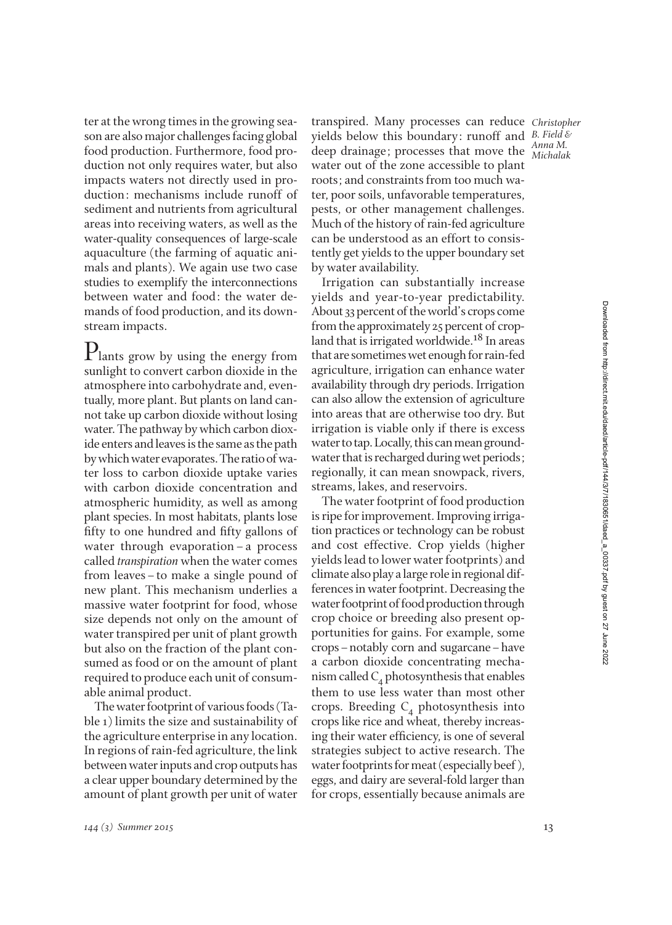ter at the wrong times in the growing season are also major challenges facing global food production. Furthermore, food production not only requires water, but also impacts waters not directly used in production: mechanisms include runoff of sediment and nutrients from agricultural areas into receiving waters, as well as the water-quality consequences of large-scale aquaculture (the farming of aquatic animals and plants). We again use two case studies to exemplify the interconnections between water and food: the water demands of food production, and its downstream impacts.

Plants grow by using the energy from sunlight to convert carbon dioxide in the atmosphere into carbohydrate and, eventually, more plant. But plants on land can not take up carbon dioxide without losing water. The pathway by which carbon dioxide enters and leaves is the same as the path by which water evaporates. The ratio of wa ter loss to carbon dioxide uptake varies with carbon dioxide concentration and at mospheric humidity, as well as among plant species. In most habitats, plants lose fifty to one hundred and fifty gallons of water through evaporation–a process called *transpiration* when the water comes from leaves–to make a single pound of new plant. This mechanism underlies a massive water footprint for food, whose size depends not only on the amount of water transpired per unit of plant growth but also on the fraction of the plant consumed as food or on the amount of plant required to produce each unit of consumable animal product.

The water footprint of various foods (Ta ble 1) limits the size and sustainability of the agriculture enterprise in any location. In regions of rain-fed agriculture, the link between water inputs and crop outputs has a clear upper boundary determined by the amount of plant growth per unit of water transpired. Many processes can reduce *Christopher*  yields below this boundary: runoff and *B. Field &*  deep drainage; processes that move the *Anna M.* water out of the zone accessible to plant roots; and constraints from too much water, poor soils, unfavorable temperatures, pests, or other management challenges. Much of the history of rain-fed agriculture can be understood as an effort to consistently get yields to the upper boundary set by water availability.

Irrigation can substantially increase yields and year-to-year predictability. About 33 percent of the world's crops come from the approximately 25 percent of cropland that is irrigated worldwide.<sup>18</sup> In areas that are sometimes wet enough for rain-fed agriculture, irrigation can enhance water availability through dry periods. Irrigation can also allow the extension of agriculture into areas that are otherwise too dry. But irrigation is viable only if there is excess water to tap. Locally, this can mean groundwater that is recharged during wet periods; regionally, it can mean snowpack, rivers, streams, lakes, and reservoirs.

The water footprint of food production is ripe for improvement. Improving irrigation practices or technology can be robust and cost effective. Crop yields (higher yields lead to lower water footprints) and climate also play a large role in regional dif ferences in water footprint. Decreasing the water footprint of food production through crop choice or breeding also present op portunities for gains. For example, some crops–notably corn and sugarcane–have a carbon dioxide concentrating mechanism called  $C_4$  photosynthesis that enables them to use less water than most other crops. Breeding  $C_4$  photosynthesis into crops like rice and wheat, thereby increas ing their water efficiency, is one of several strategies subject to active research. The water footprints for meat (especially beef ), eggs, and dairy are several-fold larger than for crops, essentially because animals are

*Michalak*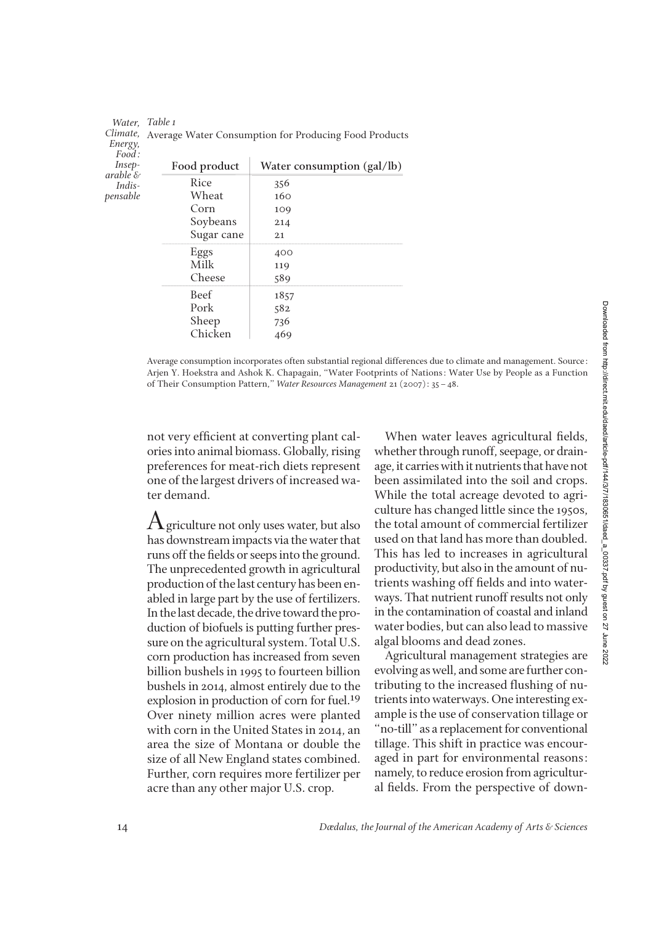aunr. 202

| Water, Table 1<br>Climate,<br>Energy,<br>Food: |  |              | Average Water Consumption for Producing Food Products |  |
|------------------------------------------------|--|--------------|-------------------------------------------------------|--|
| Insep-<br>arable $\&$<br>Indis-<br>pensable    |  | Food product | Water consumption (gal/lb)                            |  |
|                                                |  | Rice         | 356                                                   |  |
|                                                |  | Wheat        | 160                                                   |  |
|                                                |  | Corn         | 109                                                   |  |
|                                                |  | Soybeans     | 214                                                   |  |
|                                                |  | Sugar cane   | 21                                                    |  |
|                                                |  | Eggs         | 400                                                   |  |
|                                                |  | Milk         | 119                                                   |  |
|                                                |  | Cheese       | 589                                                   |  |
|                                                |  | Beef         | 1857                                                  |  |
|                                                |  | Pork         | 582                                                   |  |
|                                                |  | Sheep        | 736                                                   |  |
|                                                |  | Chicken      | 469                                                   |  |

Average consumption incorporates often substantial regional differences due to climate and management. Source: Arjen Y. Hoekstra and Ashok K. Chapagain, "Water Footprints of Nations: Water Use by People as a Function of Their Consumption Pattern," *Water Resources Management* 21 (2007): 35–48.

not very efficient at converting plant calories into animal biomass. Globally, rising preferences for meat-rich diets represent one of the largest drivers of increased wa ter demand.

 $A$ griculture not only uses water, but also has downstream impacts via the water that runs off the fields or seeps into the ground. The unprecedented growth in agricultural production of the last century has been enabled in large part by the use of fertilizers. In the last decade, the drive toward the production of biofuels is putting further pressure on the agricultural system. Total U.S. corn production has increased from seven billion bushels in 1995 to fourteen billion bushels in 2014, almost entirely due to the explosion in production of corn for fuel.19 Over ninety million acres were planted with corn in the United States in 2014, an area the size of Montana or double the size of all New England states combined. Further, corn requires more fertilizer per acre than any other major U.S. crop.

When water leaves agricultural fields, whether through runoff, seepage, or drainage, it carries with it nutrients that have not been assimilated into the soil and crops. While the total acreage devoted to agriculture has changed little since the 1950s, the total amount of commercial fertilizer used on that land has more than doubled. This has led to increases in agricultural productivity, but also in the amount of nutrients washing off fields and into waterways. That nutrient runoff results not only in the contamination of coastal and inland water bodies, but can also lead to massive algal blooms and dead zones.

Agricultural management strategies are evolving as well, and some are further con tributing to the increased flushing of nu trients into waterways. One interesting ex ample is the use of conservation tillage or "no-till" as a replacement for conventional tillage. This shift in practice was encouraged in part for environmental reasons: namely, to reduce erosion from agricultural fields. From the perspective of down-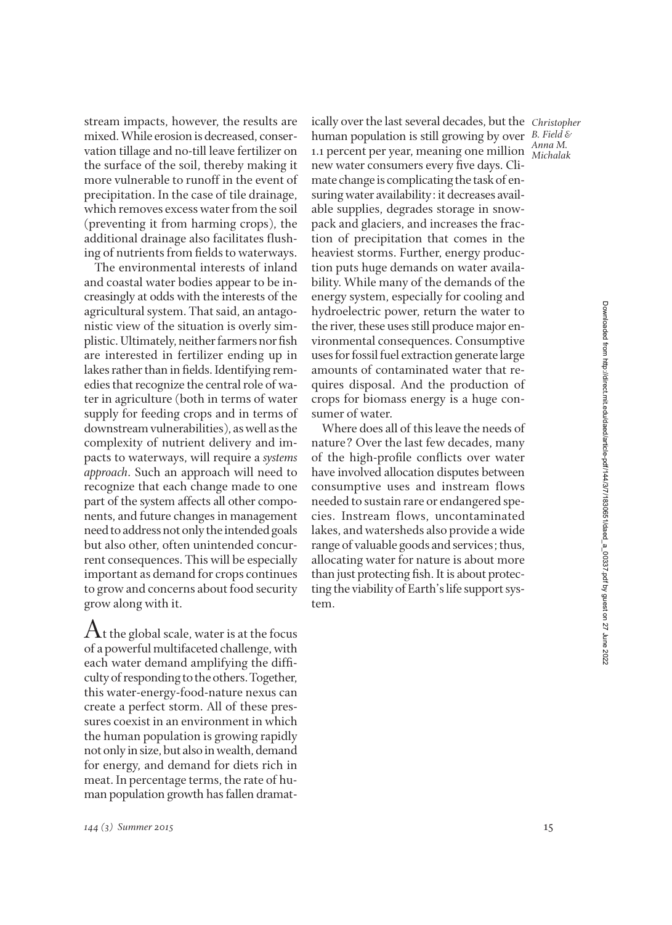stream impacts, however, the results are mixed. While erosion is decreased, conser vation tillage and no-till leave fertilizer on the surface of the soil, thereby making it more vulnerable to runoff in the event of precipitation. In the case of tile drainage, which removes excess water from the soil (preventing it from harming crops), the additional drainage also facilitates flushing of nutrients from fields to waterways.

The environmental interests of inland and coastal water bodies appear to be in creasingly at odds with the interests of the agricultural system. That said, an antagonistic view of the situation is overly simplistic. Ultimately, neither farmers nor fish are interested in fertilizer ending up in lakes rather than in fields. Identifying remedies that recognize the central role of wa ter in agriculture (both in terms of water supply for feeding crops and in terms of downstream vulnerabilities), as well as the complexity of nutrient delivery and im pacts to waterways, will require a *systems approach*. Such an approach will need to recognize that each change made to one part of the system affects all other components, and future changes in management need to address not only the intended goals but also other, often unintended concurrent consequences. This will be especially important as demand for crops continues to grow and concerns about food security grow along with it.

 ${\rm At}$  the global scale, water is at the focus of a powerful multifaceted challenge, with each water demand amplifying the difficulty of responding to the others. Together, this water-energy-food-nature nexus can create a perfect storm. All of these pressures coexist in an environment in which the human population is growing rapidly not only in size, but also in wealth, demand for energy, and demand for diets rich in meat. In percentage terms, the rate of human population growth has fallen dramat - ically over the last several decades, but the *Christopher*  human population is still growing by over *B. Field &*  1.1 percent per year, meaning one million *Anna M.* new water consumers every five days. Climate change is complicating the task of ensuring water availability: it decreases avail able supplies, degrades storage in snowpack and glaciers, and increases the fraction of precipitation that comes in the heaviest storms. Further, energy production puts huge demands on water availa bility. While many of the demands of the energy system, especially for cooling and hydroelectric power, return the water to the river, these uses still produce major environmental consequences. Consumptive uses for fossil fuel extraction generate large amounts of contaminated water that re quires disposal. And the production of crops for biomass energy is a huge consumer of water.

Where does all of this leave the needs of nature? Over the last few decades, many of the high-profile conflicts over water have involved allocation disputes between consumptive uses and instream flows needed to sustain rare or endangered species. Instream flows, uncontaminated lakes, and watersheds also provide a wide range of valuable goods and services; thus, allocating water for nature is about more than just protecting fish. It is about protecting the viability of Earth's life support sys tem.

*Michalak*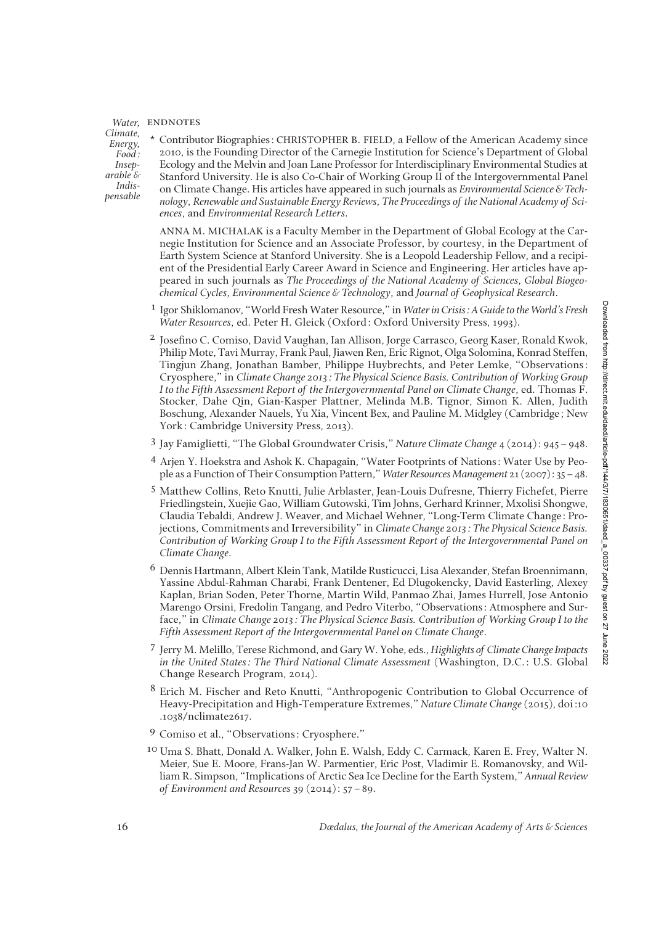## Water, **ENDNOTES**

*Climate,*

*Energy, Food: Inseparable & Indis pensable* \* Contributor Biographies: CHRISTOPHER B. FIELD, a Fellow of the American Academy since 2010, is the Founding Director of the Carnegie Institution for Science's Department of Global Ecology and the Melvin and Joan Lane Professor for Interdisciplinary Environmental Studies at Stanford University. He is also Co-Chair of Working Group II of the Intergovernmental Panel on Climate Change. His articles have appeared in such journals as *Environmental Science & Technology*, *Renewable and Sustainable Energy Reviews*, *The Proceedings of the National Academy of Sciences*, and *Environmental Research Letters*.

ANNA M. MICHALAK is a Faculty Member in the Department of Global Ecology at the Car negie Institution for Science and an Associate Professor, by courtesy, in the Department of Earth System Science at Stanford University. She is a Leopold Leadership Fellow, and a recipient of the Presidential Early Career Award in Science and Engineering. Her articles have ap peared in such journals as *The Proceedings of the National Academy of Sciences*, *Global Biogeochemical Cycles*, *Environmental Science & Technology*, and *Journal of Geophysical Research*.

- 1 Igor Shiklomanov, "World Fresh Water Resource," in *Water in Crisis: A Guide to the World's Fresh Water Resources*, ed. Peter H. Gleick (Oxford: Oxford University Press, 1993).
- <sup>2</sup> Josefino C. Comiso, David Vaughan, Ian Allison, Jorge Carrasco, Georg Kaser, Ronald Kwok, Philip Mote, Tavi Murray, Frank Paul, Jiawen Ren, Eric Rignot, Olga Solomina, Konrad Steffen, Tingjun Zhang, Jonathan Bamber, Philippe Huybrechts, and Peter Lemke, "Observations: Cryosphere," in *Climate Change 2013: The Physical Science Basis. Contribution of Working Group I to the Fifth Assessment Report of the Intergovernmental Panel on Climate Change*, ed. Thomas F. Stocker, Dahe Qin, Gian-Kasper Plattner, Melinda M.B. Tignor, Simon K. Allen, Judith Boschung, Alexander Nauels, Yu Xia, Vincent Bex, and Pauline M. Midgley (Cambridge; New York: Cambridge University Press, 2013).
- 3 Jay Famiglietti, "The Global Groundwater Crisis," *Nature Climate Change* 4 (2014): 945–948.
- 4 Arjen Y. Hoekstra and Ashok K. Chapagain, "Water Footprints of Nations: Water Use by People as a Function of Their Consumption Pattern," *Water Resources Management* 21 (2007): 35–48.
- 5 Matthew Collins, Reto Knutti, Julie Arblaster, Jean-Louis Dufresne, Thierry Fichefet, Pierre Friedlingstein, Xuejie Gao, William Gutowski, Tim Johns, Gerhard Krinner, Mxolisi Shongwe, Claudia Tebaldi, Andrew J. Weaver, and Michael Wehner, "Long-Term Climate Change: Pro jections, Commitments and Irreversibility" in *Climate Change 2013: The Physical Science Basis. Contribution of Working Group I to the Fifth Assessment Report of the Intergovernmental Panel on Climate Change*.
- 6 Dennis Hartmann, Albert Klein Tank, Matilde Rusticucci, Lisa Alexander, Stefan Broennimann, Yassine Abdul-Rahman Charabi, Frank Dentener, Ed Dlugokencky, David Easterling, Alexey Kaplan, Brian Soden, Peter Thorne, Martin Wild, Panmao Zhai, James Hurrell, Jose Antonio Marengo Orsini, Fredolin Tangang, and Pedro Viterbo, "Observations: Atmosphere and Sur face," in *Climate Change 2013: The Physical Science Basis. Contribution of Working Group I to the Fifth Assessment Report of the Intergovernmental Panel on Climate Change*.
- 7 Jerry M. Melillo, Terese Richmond, and Gary W. Yohe, eds., *Highlights of Climate Change Impacts in the United States: The Third National Climate Assessment* (Washington, D.C.: U.S. Global Change Research Program, 2014).
- 8 Erich M. Fischer and Reto Knutti, "Anthropogenic Contribution to Global Occurrence of Heavy-Precipitation and High-Temperature Extremes," *Nature Climate Change* (2015), doi:10 .1038/nclimate2617.
- 9 Comiso et al., "Observations: Cryosphere."
- 10 Uma S. Bhatt, Donald A. Walker, John E. Walsh, Eddy C. Carmack, Karen E. Frey, Walter N. Meier, Sue E. Moore, Frans-Jan W. Parmentier, Eric Post, Vladimir E. Romanovsky, and Wil liam R. Simpson, "Implications of Arctic Sea Ice Decline for the Earth System," *Annual Review of Environment and Resources* 39 (2014): 57–89.